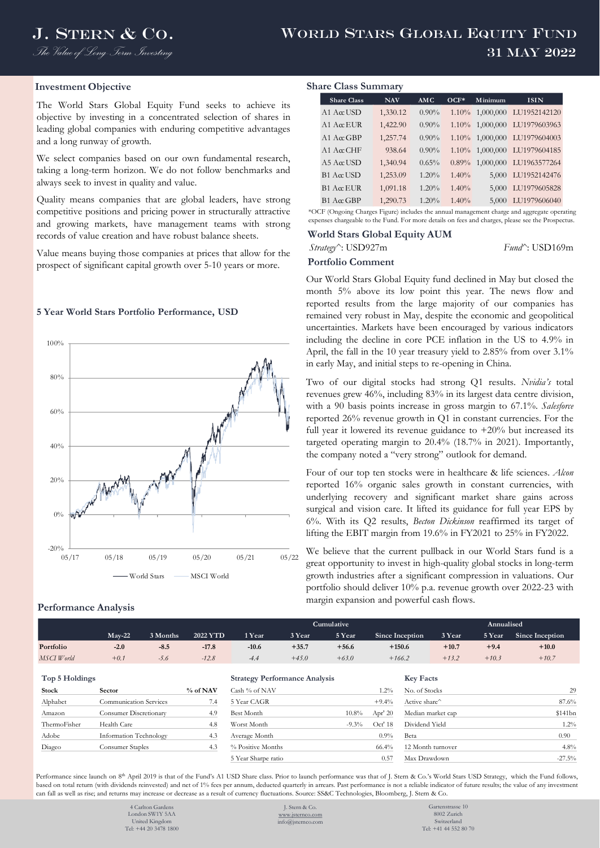## **Investment Objective**

The World Stars Global Equity Fund seeks to achieve its objective by investing in a concentrated selection of shares in leading global companies with enduring competitive advantages and a long runway of growth.

We select companies based on our own fundamental research, taking a long-term horizon. We do not follow benchmarks and always seek to invest in quality and value.

Quality means companies that are global leaders, have strong competitive positions and pricing power in structurally attractive and growing markets, have management teams with strong records of value creation and have robust balance sheets.

Value means buying those companies at prices that allow for the prospect of significant capital growth over 5-10 years or more.

## **5 Year World Stars Portfolio Performance, USD**



## **Performance Analysis**

| <b>Share Class Summary</b> |                     |            |          |          |           |              |  |  |  |  |
|----------------------------|---------------------|------------|----------|----------|-----------|--------------|--|--|--|--|
|                            | <b>Share Class</b>  | <b>NAV</b> | AMC      | $OCF*$   | Minimum   | <b>ISIN</b>  |  |  |  |  |
|                            | $A1 \text{ ArL}$    | 1,330.12   | $0.90\%$ | $1.10\%$ | 1,000,000 | LU1952142120 |  |  |  |  |
|                            | A1 $A\alpha$ EUR    | 1,422.90   | $0.90\%$ | $1.10\%$ | 1,000,000 | LU1979603963 |  |  |  |  |
|                            | A1 A $\alpha$ GBP   | 1,257.74   | $0.90\%$ | $1.10\%$ | 1,000,000 | LU1979604003 |  |  |  |  |
|                            | A1 A $\alpha$ CHF   | 938.64     | $0.90\%$ | $1.10\%$ | 1,000,000 | LU1979604185 |  |  |  |  |
|                            | $A5$ A $\alpha$ USD | 1,340.94   | 0.65%    | 0.89%    | 1,000,000 | LU1963577264 |  |  |  |  |
|                            | $B1$ A $\alpha$ USD | 1,253.09   | 1.20%    | 1.40%    | 5,000     | LU1952142476 |  |  |  |  |
|                            | $B1$ Acc EUR        | 1,091.18   | 1.20%    | 1.40%    | 5,000     | LU1979605828 |  |  |  |  |
|                            | $B1$ AccGBP         | 1,290.73   | 1.20%    | 1.40%    | 5,000     | LU1979606040 |  |  |  |  |

\*OCF (Ongoing Charges Figure) includes the annual management charge and aggregate operating expenses chargeable to the Fund. For more details on fees and charges, please see the Prospectus.

## **World Stars Global Equity AUM**

# *Strategy^*: USD927m *Fund^*: USD169m

# **Portfolio Comment**

Our World Stars Global Equity fund declined in May but closed the month 5% above its low point this year. The news flow and reported results from the large majority of our companies has remained very robust in May, despite the economic and geopolitical uncertainties. Markets have been encouraged by various indicators including the decline in core PCE inflation in the US to 4.9% in April, the fall in the 10 year treasury yield to 2.85% from over 3.1% in early May, and initial steps to re-opening in China.

Two of our digital stocks had strong Q1 results. *Nvidia's* total revenues grew 46%, including 83% in its largest data centre division, with a 90 basis points increase in gross margin to 67.1%. *Salesforce* reported 26% revenue growth in Q1 in constant currencies. For the full year it lowered its revenue guidance to  $+20\%$  but increased its targeted operating margin to 20.4% (18.7% in 2021). Importantly, the company noted a "very strong" outlook for demand.

Four of our top ten stocks were in healthcare & life sciences. *Alcon* reported 16% organic sales growth in constant currencies, with underlying recovery and significant market share gains across surgical and vision care. It lifted its guidance for full year EPS by 6%. With its Q2 results, *Becton Dickinson* reaffirmed its target of lifting the EBIT margin from 19.6% in FY2021 to 25% in FY2022.

We believe that the current pullback in our World Stars fund is a great opportunity to invest in high-quality global stocks in long-term growth industries after a significant compression in valuations. Our portfolio should deliver 10% p.a. revenue growth over 2022-23 with margin expansion and powerful cash flows.

|            |          |          |          |         | Cumulative <sup>1</sup> |         | Annualised      |         |         |                 |  |
|------------|----------|----------|----------|---------|-------------------------|---------|-----------------|---------|---------|-----------------|--|
|            | $Mav-22$ | 3 Months | 2022 YTD | 1 Year  | 3 Year                  | 5 Year  | Since Inception | 3 Year  | 5 Year  | Since Inception |  |
| Portfolio  | $-2.0$   | $-8.5$   | $-17.8$  | $-10.6$ | $+35.7$                 | $+56.6$ | $+150.6$        | $+10.7$ | $+9.4$  | $+10.0$         |  |
| MSCI World | $+0.1$   | $-5.6$   | $-12.8$  | $-4.4$  | $+45.0$                 | $+63.0$ | $+166.2$        | $+13.2$ | $+10.3$ | $+10.7$         |  |

## $Top 5$  Holdings

|              | $\sim$                        |          |                   |          |           |                   |                    |
|--------------|-------------------------------|----------|-------------------|----------|-----------|-------------------|--------------------|
| Stock        | <b>Sector</b>                 | % of NAV | Cash % of NAV     |          | $1.2\%$   | No. of Stocks     |                    |
| Alphabet     | Communication Services        | 7.4      | 5 Year CAGR       |          | $+9.4%$   | Active share      | 87.6               |
| Amazon       | <b>Consumer Discretionary</b> | 4.9      | Best Month        | $10.8\%$ | Apr' $20$ | Median market cap | \$141 <sub>b</sub> |
| ThermoFisher | Health Care                   | 4.8      | Worst Month       | $-9.3\%$ | Oct' 18   | Dividend Yield    | 1.2                |
| Adobe        | Information Technology        | 4.3      | Average Month     |          | $0.9\%$   | Beta              | 0.90               |
| Diageo       | Consumer Staples              | 4.3      | % Positive Months |          | 66.4%     | 12 Month turnover | 4.8                |
|              |                               |          |                   |          |           |                   |                    |

| <b>Strategy Performance Analysis</b> |         |           |
|--------------------------------------|---------|-----------|
| Cash % of NAV                        |         | 1.2%      |
| 5 Year CAGR                          |         | $+9.4%$   |
| <b>Best Month</b>                    | 10.8%   | Apr' $20$ |
| Worst Month                          | $-9.3%$ | Oct' 18   |
| Average Month                        |         | 0.9%      |
| % Positive Months                    |         | 66.4%     |
| 5 Year Sharpe ratio                  |         | 0.57      |

| Top 5 Holdings |                               |            | <b>Strategy Performance Analysis</b> |          | <b>Key Facts</b> |                   |                   |
|----------------|-------------------------------|------------|--------------------------------------|----------|------------------|-------------------|-------------------|
| Stock          | <b>Sector</b>                 | % of NAV   | Cash % of NAV                        |          | . .2%            | No. of Stocks     | 29                |
| Alphabet       | Communication Services        | $\sqrt{4}$ | 5 Year CAGR                          |          | $+9.4%$          | Active share      | 87.6%             |
| Amazon         | <b>Consumer Discretionary</b> | 4.9        | Best Month                           | $10.8\%$ | Apr' $20$        | Median market cap | \$141bn           |
| ThermoFisher   | Health Care                   | 4.8        | Worst Month                          | $-9.3\%$ | Oct' 18          | Dividend Yield    | $1.2\%$           |
| Adobe          | Information Technology        | 4.3        | Average Month                        |          | $0.9\%$          | Beta              | 0.90 <sub>1</sub> |
| Diageo         | Consumer Staples              | 4.3        | % Positive Months                    |          | 66.4%            | 12 Month turnover | 4.8%              |
|                |                               |            | 5 Year Sharpe ratio                  |          | 0.57             | Max Drawdown      | $-27.5%$          |

Performance since launch on 8<sup>th</sup> April 2019 is that of the Fund's A1 USD Share class. Prior to launch performance was that of J. Stern & Co.'s World Stars USD Strategy, which the Fund follows, based on total return (with dividends reinvested) and net of 1% fees per annum, deducted quarterly in arrears. Past performance is not a reliable indicator of future results; the value of any investment can fall as well as rise; and returns may increase or decrease as a result of currency fluctuations. Source: SS&C Technologies, Bloomberg, J. Stern & Co.

> 4 Carlton Gardens London SW1Y 5AA United Kingdom Tel: +44 20 3478 1800

J. Stern & Co. [www.jsternco.com](http://www.jsternco.com/) info@jsternco.com

Gartenstrasse 10 8002 Zurich Switzerland Tel: +41 44 552 80 70